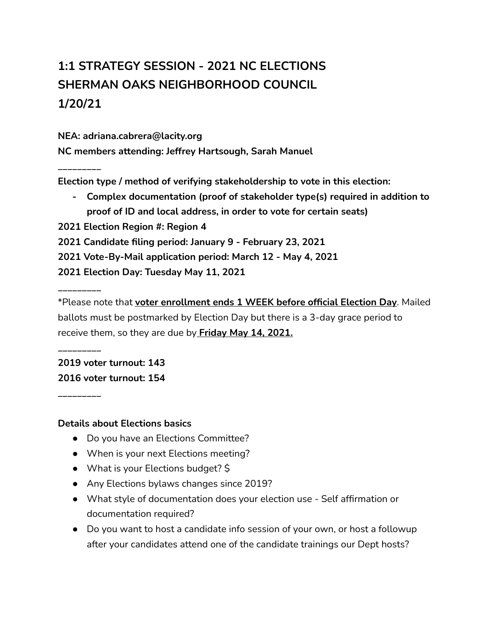# **1:1 STRATEGY SESSION - 2021 NC ELECTIONS SHERMAN OAKS NEIGHBORHOOD COUNCIL 1/20/21**

**NEA: adriana.cabrera@lacity.org**

**NC members attending: Jeffrey Hartsough, Sarah Manuel**

**Election type / method of verifying stakeholdership to vote in this election:**

**- Complex documentation (proof of stakeholder type(s) required in addition to proof of ID and local address, in order to vote for certain seats)**

**2021 Election Region #: Region 4**

**2021 Candidate filing period: January 9 - February 23, 2021**

**2021 Vote-By-Mail application period: March 12 - May 4, 2021**

**2021 Election Day: Tuesday May 11, 2021**

**\_\_\_\_\_\_\_\_\_**

**\_\_\_\_\_\_\_\_\_**

**\_\_\_\_\_\_\_\_\_**

**\_\_\_\_\_\_\_\_\_**

\*Please note that **voter enrollment ends 1 WEEK before official Election Day**. Mailed ballots must be postmarked by Election Day but there is a 3-day grace period to receive them, so they are due by **Friday May 14, 2021.**

**2019 voter turnout: 143 2016 voter turnout: 154**

#### **Details about Elections basics**

- Do you have an Elections Committee?
- When is your next Elections meeting?
- What is your Elections budget?  $\frac{1}{2}$
- Any Elections bylaws changes since 2019?
- What style of documentation does your election use Self affirmation or documentation required?
- Do you want to host a candidate info session of your own, or host a followup after your candidates attend one of the candidate trainings our Dept hosts?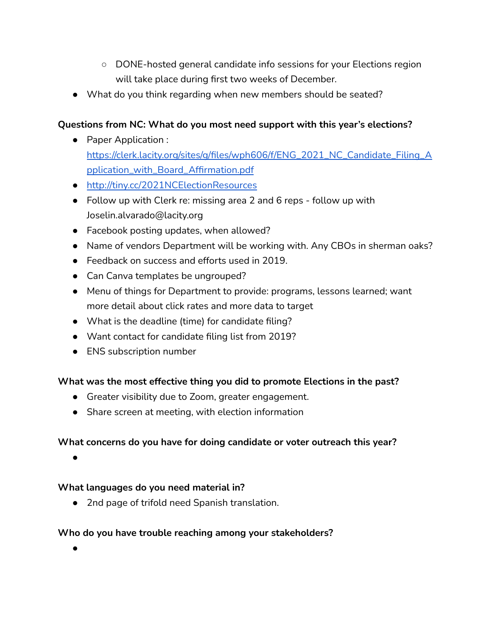- DONE-hosted general candidate info sessions for your Elections region will take place during first two weeks of December.
- What do you think regarding when new members should be seated?

## **Questions from NC: What do you most need support with this year's elections?**

- Paper Application : [https://clerk.lacity.org/sites/g/files/wph606/f/ENG\\_2021\\_NC\\_Candidate\\_Filing\\_A](https://clerk.lacity.org/sites/g/files/wph606/f/ENG_2021_NC_Candidate_Filing_Application_with_Board_Affirmation.pdf) [pplication\\_with\\_Board\\_Affirmation.pdf](https://clerk.lacity.org/sites/g/files/wph606/f/ENG_2021_NC_Candidate_Filing_Application_with_Board_Affirmation.pdf)
- <http://tiny.cc/2021NCElectionResources>
- Follow up with Clerk re: missing area 2 and 6 reps follow up with Joselin.alvarado@lacity.org
- Facebook posting updates, when allowed?
- Name of vendors Department will be working with. Any CBOs in sherman oaks?
- Feedback on success and efforts used in 2019.
- Can Canva templates be ungrouped?
- Menu of things for Department to provide: programs, lessons learned; want more detail about click rates and more data to target
- What is the deadline (time) for candidate filing?
- Want contact for candidate filing list from 2019?
- ENS subscription number

#### **What was the most effective thing you did to promote Elections in the past?**

- Greater visibility due to Zoom, greater engagement.
- Share screen at meeting, with election information

#### **What concerns do you have for doing candidate or voter outreach this year?**

 $\bullet$ 

#### **What languages do you need material in?**

● 2nd page of trifold need Spanish translation.

#### **Who do you have trouble reaching among your stakeholders?**

●